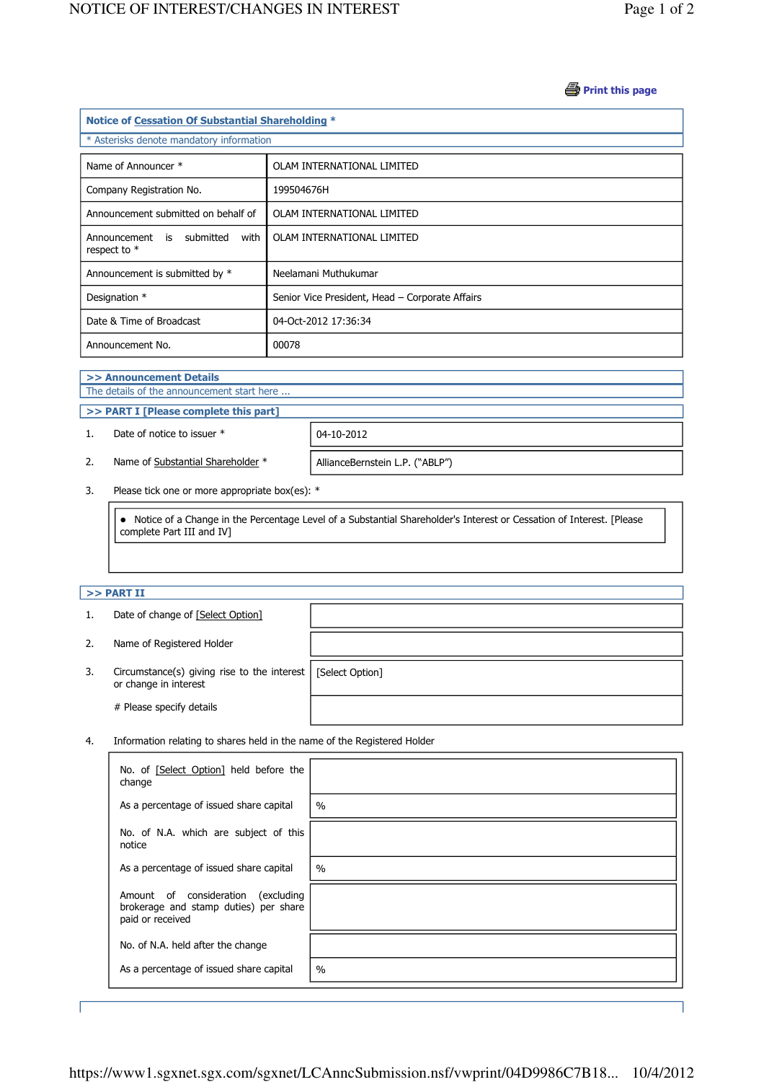#### **B** Print this page

| Notice of Cessation Of Substantial Shareholding * |                                                 |  |  |  |  |
|---------------------------------------------------|-------------------------------------------------|--|--|--|--|
| * Asterisks denote mandatory information          |                                                 |  |  |  |  |
| Name of Announcer *                               | OLAM INTERNATIONAL LIMITED                      |  |  |  |  |
| Company Registration No.                          | 199504676H                                      |  |  |  |  |
| Announcement submitted on behalf of               | OLAM INTERNATIONAL LIMITED                      |  |  |  |  |
| Announcement is submitted<br>with<br>respect to * | OLAM INTERNATIONAL LIMITED                      |  |  |  |  |
| Announcement is submitted by *                    | Neelamani Muthukumar                            |  |  |  |  |
| Designation *                                     | Senior Vice President, Head - Corporate Affairs |  |  |  |  |
| Date & Time of Broadcast                          | 04-Oct-2012 17:36:34                            |  |  |  |  |
| Announcement No.                                  | 00078                                           |  |  |  |  |

#### >> Announcement Details

j

J

The details of the announcement start here ...

# >> PART I [Please complete this part]

1. Date of notice to issuer  $*$  | 04-10-2012

2. Name of Substantial Shareholder \* | AllianceBernstein L.P. ("ABLP")

3. Please tick one or more appropriate box(es): \*

 Notice of a Change in the Percentage Level of a Substantial Shareholder's Interest or Cessation of Interest. [Please complete Part III and IV]

## $>>$  PART II

j

|    | Date of change of [Select Option]                                        |                 |
|----|--------------------------------------------------------------------------|-----------------|
| 2. | Name of Registered Holder                                                |                 |
| 3. | Circumstance(s) giving rise to the interest $ $<br>or change in interest | [Select Option] |
|    | # Please specify details                                                 |                 |

4. Information relating to shares held in the name of the Registered Holder

| No. of [Select Option] held before the<br>change                                                   |      |
|----------------------------------------------------------------------------------------------------|------|
| As a percentage of issued share capital                                                            | $\%$ |
| No. of N.A. which are subject of this<br>notice                                                    |      |
| As a percentage of issued share capital                                                            | $\%$ |
| Amount of consideration<br>(excluding<br>brokerage and stamp duties) per share<br>paid or received |      |
| No. of N.A. held after the change                                                                  |      |
| As a percentage of issued share capital                                                            | $\%$ |

J